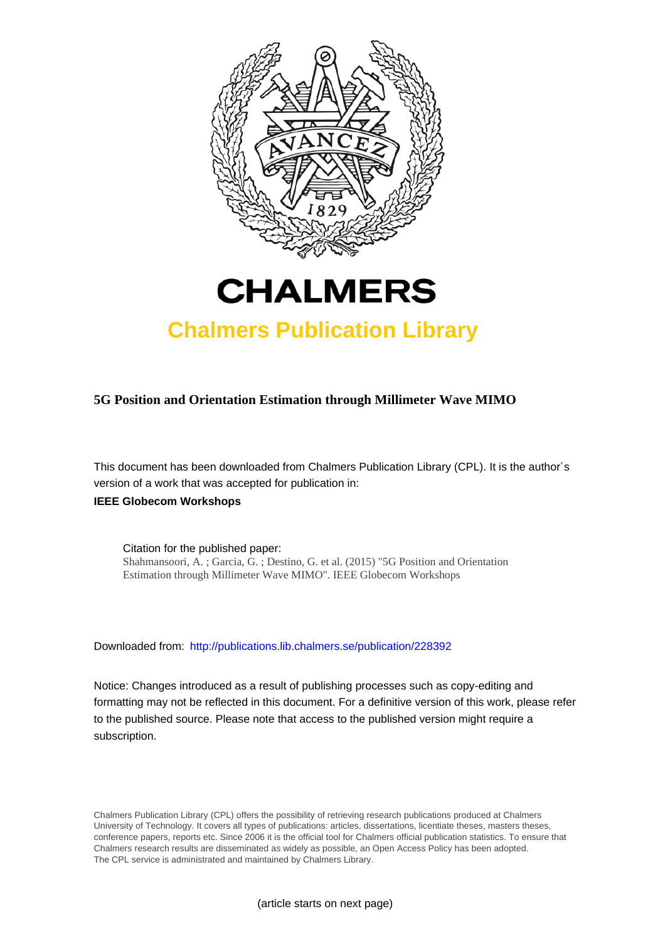

# **CHALMERS**

## **Chalmers Publication Library**

### **5G Position and Orientation Estimation through Millimeter Wave MIMO**

This document has been downloaded from Chalmers Publication Library (CPL). It is the author´s version of a work that was accepted for publication in:

### **IEEE Globecom Workshops**

Citation for the published paper: Shahmansoori, A. ; Garcia, G. ; Destino, G. et al. (2015) "5G Position and Orientation Estimation through Millimeter Wave MIMO". IEEE Globecom Workshops

Downloaded from: <http://publications.lib.chalmers.se/publication/228392>

Notice: Changes introduced as a result of publishing processes such as copy-editing and formatting may not be reflected in this document. For a definitive version of this work, please refer to the published source. Please note that access to the published version might require a subscription.

Chalmers Publication Library (CPL) offers the possibility of retrieving research publications produced at Chalmers University of Technology. It covers all types of publications: articles, dissertations, licentiate theses, masters theses, conference papers, reports etc. Since 2006 it is the official tool for Chalmers official publication statistics. To ensure that Chalmers research results are disseminated as widely as possible, an Open Access Policy has been adopted. The CPL service is administrated and maintained by Chalmers Library.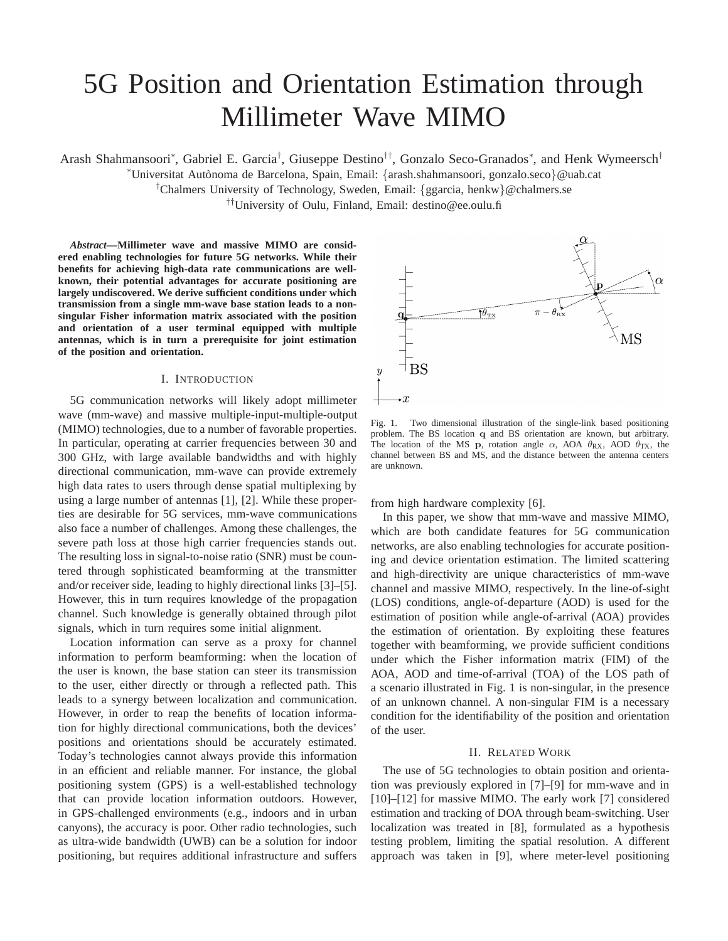# 5G Position and Orientation Estimation through Millimeter Wave MIMO

Arash Shahmansoori\*, Gabriel E. Garcia<sup>†</sup>, Giuseppe Destino<sup>††</sup>, Gonzalo Seco-Granados\*, and Henk Wymeersch<sup>†</sup>

<sup>∗</sup>Universitat Aut`onoma de Barcelona, Spain, Email: {arash.shahmansoori, gonzalo.seco}@uab.cat

<sup>†</sup>Chalmers University of Technology, Sweden, Email: {ggarcia, henkw}@chalmers.se

††University of Oulu, Finland, Email: destino@ee.oulu.fi

*Abstract***—Millimeter wave and massive MIMO are considered enabling technologies for future 5G networks. While their benefits for achieving high-data rate communications are wellknown, their potential advantages for accurate positioning are largely undiscovered. We derive sufficient conditions under which transmission from a single mm-wave base station leads to a nonsingular Fisher information matrix associated with the position and orientation of a user terminal equipped with multiple antennas, which is in turn a prerequisite for joint estimation of the position and orientation.**

#### I. INTRODUCTION

5G communication networks will likely adopt millimeter wave (mm-wave) and massive multiple-input-multiple-output (MIMO) technologies, due to a number of favorable properties. In particular, operating at carrier frequencies between 30 and 300 GHz, with large available bandwidths and with highly directional communication, mm-wave can provide extremely high data rates to users through dense spatial multiplexing by using a large number of antennas [1], [2]. While these properties are desirable for 5G services, mm-wave communications also face a number of challenges. Among these challenges, the severe path loss at those high carrier frequencies stands out. The resulting loss in signal-to-noise ratio (SNR) must be countered through sophisticated beamforming at the transmitter and/or receiver side, leading to highly directional links [3]–[5]. However, this in turn requires knowledge of the propagation channel. Such knowledge is generally obtained through pilot signals, which in turn requires some initial alignment.

Location information can serve as a proxy for channel information to perform beamforming: when the location of the user is known, the base station can steer its transmission to the user, either directly or through a reflected path. This leads to a synergy between localization and communication. However, in order to reap the benefits of location information for highly directional communications, both the devices' positions and orientations should be accurately estimated. Today's technologies cannot always provide this information in an efficient and reliable manner. For instance, the global positioning system (GPS) is a well-established technology that can provide location information outdoors. However, in GPS-challenged environments (e.g., indoors and in urban canyons), the accuracy is poor. Other radio technologies, such as ultra-wide bandwidth (UWB) can be a solution for indoor positioning, but requires additional infrastructure and suffers



Fig. 1. Two dimensional illustration of the single-link based positioning problem. The BS location q and BS orientation are known, but arbitrary. The location of the MS p, rotation angle  $\alpha$ , AOA  $\theta_{\rm RX}$ , AOD  $\theta_{\rm TX}$ , the channel between BS and MS, and the distance between the antenna centers are unknown.

from high hardware complexity [6].

In this paper, we show that mm-wave and massive MIMO, which are both candidate features for 5G communication networks, are also enabling technologies for accurate positioning and device orientation estimation. The limited scattering and high-directivity are unique characteristics of mm-wave channel and massive MIMO, respectively. In the line-of-sight (LOS) conditions, angle-of-departure (AOD) is used for the estimation of position while angle-of-arrival (AOA) provides the estimation of orientation. By exploiting these features together with beamforming, we provide sufficient conditions under which the Fisher information matrix (FIM) of the AOA, AOD and time-of-arrival (TOA) of the LOS path of a scenario illustrated in Fig. 1 is non-singular, in the presence of an unknown channel. A non-singular FIM is a necessary condition for the identifiability of the position and orientation of the user.

#### II. RELATED WORK

The use of 5G technologies to obtain position and orientation was previously explored in [7]–[9] for mm-wave and in [10]–[12] for massive MIMO. The early work [7] considered estimation and tracking of DOA through beam-switching. User localization was treated in [8], formulated as a hypothesis testing problem, limiting the spatial resolution. A different approach was taken in [9], where meter-level positioning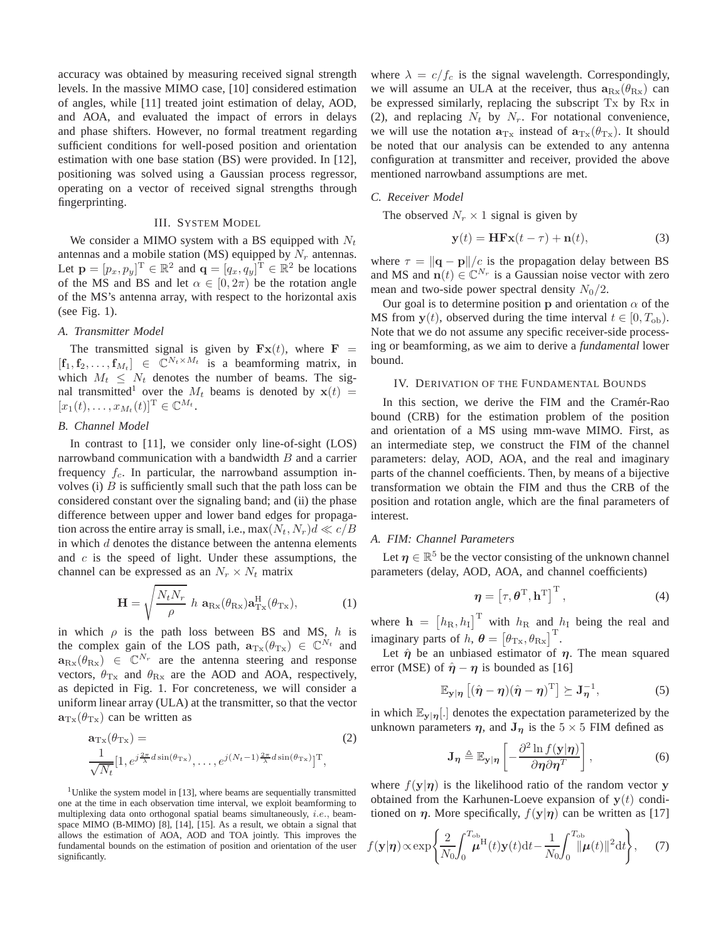accuracy was obtained by measuring received signal strength levels. In the massive MIMO case, [10] considered estimation of angles, while [11] treated joint estimation of delay, AOD, and AOA, and evaluated the impact of errors in delays and phase shifters. However, no formal treatment regarding sufficient conditions for well-posed position and orientation estimation with one base station (BS) were provided. In [12], positioning was solved using a Gaussian process regressor, operating on a vector of received signal strengths through fingerprinting.

#### III. SYSTEM MODEL

We consider a MIMO system with a BS equipped with  $N_t$ antennas and a mobile station (MS) equipped by  $N_r$  antennas. Let  $\mathbf{p} = [p_x, p_y]^T \in \mathbb{R}^2$  and  $\mathbf{q} = [q_x, q_y]^T \in \mathbb{R}^2$  be locations of the MS and BS and let  $\alpha \in [0, 2\pi)$  be the rotation angle of the MS's antenna array, with respect to the horizontal axis (see Fig. 1).

#### *A. Transmitter Model*

The transmitted signal is given by  $Fx(t)$ , where  $F =$  $[f_1, f_2, \ldots, f_{M_t}] \in \mathbb{C}^{N_t \times M_t}$  is a beamforming matrix, in which  $M_t \leq N_t$  denotes the number of beams. The signal transmitted<sup>1</sup> over the  $M_t$  beams is denoted by  $x(t)$  =  $[x_1(t),...,x_{M_t}(t)]^{\mathrm{T}} \in \mathbb{C}^{M_t}.$ 

#### *B. Channel Model*

In contrast to [11], we consider only line-of-sight (LOS) narrowband communication with a bandwidth  $B$  and a carrier frequency  $f_c$ . In particular, the narrowband assumption involves (i)  $B$  is sufficiently small such that the path loss can be considered constant over the signaling band; and (ii) the phase difference between upper and lower band edges for propagation across the entire array is small, i.e.,  $\max(N_t, N_r)d \ll c/B$ in which  $d$  denotes the distance between the antenna elements and  $c$  is the speed of light. Under these assumptions, the channel can be expressed as an  $N_r \times N_t$  matrix

$$
\mathbf{H} = \sqrt{\frac{N_t N_r}{\rho}} \; h \; \mathbf{a}_{\text{Rx}}(\theta_{\text{Rx}}) \mathbf{a}_{\text{Tx}}^{\text{H}}(\theta_{\text{Tx}}), \tag{1}
$$

in which  $\rho$  is the path loss between BS and MS, h is the complex gain of the LOS path,  $\mathbf{a}_{\text{Tx}}(\theta_{\text{Tx}}) \in \mathbb{C}^{N_t}$  and  $\mathbf{a}_{\text{Rx}}(\theta_{\text{Rx}}) \in \mathbb{C}^{N_r}$  are the antenna steering and response vectors,  $\theta_{\text{Tx}}$  and  $\theta_{\text{Rx}}$  are the AOD and AOA, respectively, as depicted in Fig. 1. For concreteness, we will consider a uniform linear array (ULA) at the transmitter, so that the vector  $\mathbf{a}_{\text{Tx}}(\theta_{\text{Tx}})$  can be written as

$$
\mathbf{a}_{\mathrm{Tx}}(\theta_{\mathrm{Tx}}) = (2) \n\frac{1}{\sqrt{N_t}} [1, e^{j\frac{2\pi}{\lambda}d\sin(\theta_{\mathrm{Tx}})}, \dots, e^{j(N_t-1)\frac{2\pi}{\lambda}d\sin(\theta_{\mathrm{Tx}})}]^{\mathrm{T}},
$$

<sup>1</sup>Unlike the system model in [13], where beams are sequentially transmitted one at the time in each observation time interval, we exploit beamforming to multiplexing data onto orthogonal spatial beams simultaneously, i.e., beamspace MIMO (B-MIMO) [8], [14], [15]. As a result, we obtain a signal that allows the estimation of AOA, AOD and TOA jointly. This improves the fundamental bounds on the estimation of position and orientation of the user significantly.

where  $\lambda = c/f_c$  is the signal wavelength. Correspondingly, we will assume an ULA at the receiver, thus  $a_{Rx}(\theta_{Rx})$  can be expressed similarly, replacing the subscript Tx by Rx in (2), and replacing  $N_t$  by  $N_r$ . For notational convenience, we will use the notation  $\mathbf{a}_{\text{Tx}}$  instead of  $\mathbf{a}_{\text{Tx}}(\theta_{\text{Tx}})$ . It should be noted that our analysis can be extended to any antenna configuration at transmitter and receiver, provided the above mentioned narrowband assumptions are met.

#### *C. Receiver Model*

The observed  $N_r \times 1$  signal is given by

$$
\mathbf{y}(t) = \mathbf{H} \mathbf{F} \mathbf{x}(t - \tau) + \mathbf{n}(t),\tag{3}
$$

where  $\tau = ||\mathbf{q} - \mathbf{p}||/c$  is the propagation delay between BS and MS and  $\mathbf{n}(t) \in \mathbb{C}^{N_r}$  is a Gaussian noise vector with zero mean and two-side power spectral density  $N_0/2$ .

Our goal is to determine position p and orientation  $\alpha$  of the MS from  $y(t)$ , observed during the time interval  $t \in [0, T_{ob})$ . Note that we do not assume any specific receiver-side processing or beamforming, as we aim to derive a *fundamental* lower bound.

#### IV. DERIVATION OF THE FUNDAMENTAL BOUNDS

In this section, we derive the FIM and the Cramér-Rao bound (CRB) for the estimation problem of the position and orientation of a MS using mm-wave MIMO. First, as an intermediate step, we construct the FIM of the channel parameters: delay, AOD, AOA, and the real and imaginary parts of the channel coefficients. Then, by means of a bijective transformation we obtain the FIM and thus the CRB of the position and rotation angle, which are the final parameters of interest.

#### *A. FIM: Channel Parameters*

Let  $\eta \in \mathbb{R}^5$  be the vector consisting of the unknown channel parameters (delay, AOD, AOA, and channel coefficients)

$$
\boldsymbol{\eta} = \left[\tau, \boldsymbol{\theta}^{\mathrm{T}}, \mathbf{h}^{\mathrm{T}}\right]^{\mathrm{T}},\tag{4}
$$

where  $\mathbf{h} = [h_{\text{R}}, h_{\text{I}}]^{\text{T}}$  with  $h_{\text{R}}$  and  $h_{\text{I}}$  being the real and imaginary parts of h,  $\boldsymbol{\theta} = [\theta_{\text{Tx}}, \theta_{\text{Rx}}]^{\text{T}}$ .

Let  $\hat{\eta}$  be an unbiased estimator of  $\eta$ . The mean squared error (MSE) of  $\hat{\eta} - \eta$  is bounded as [16]

$$
\mathbb{E}_{\mathbf{y}|\boldsymbol{\eta}}\left[(\hat{\boldsymbol{\eta}}-\boldsymbol{\eta})(\hat{\boldsymbol{\eta}}-\boldsymbol{\eta})^{\mathrm{T}}\right] \succeq \mathbf{J}_{\boldsymbol{\eta}}^{-1},\tag{5}
$$

in which  $\mathbb{E}_{\mathbf{y}|\eta}$ . denotes the expectation parameterized by the unknown parameters  $\eta$ , and  $J_{\eta}$  is the  $5 \times 5$  FIM defined as

$$
\mathbf{J}_{\eta} \triangleq \mathbb{E}_{\mathbf{y}|\eta} \left[ -\frac{\partial^2 \ln f(\mathbf{y}|\eta)}{\partial \eta \partial \eta^T} \right],\tag{6}
$$

where  $f(y|\eta)$  is the likelihood ratio of the random vector y obtained from the Karhunen-Loeve expansion of  $y(t)$  conditioned on  $\eta$ . More specifically,  $f(y|\eta)$  can be written as [17]

$$
f(\mathbf{y}|\boldsymbol{\eta}) \propto \exp\left\{\frac{2}{N_0} \int_0^{T_{\text{ob}}} \boldsymbol{\mu}^{\text{H}}(t) \mathbf{y}(t) dt - \frac{1}{N_0} \int_0^{T_{\text{ob}}} ||\boldsymbol{\mu}(t)||^2 dt \right\},\qquad(7)
$$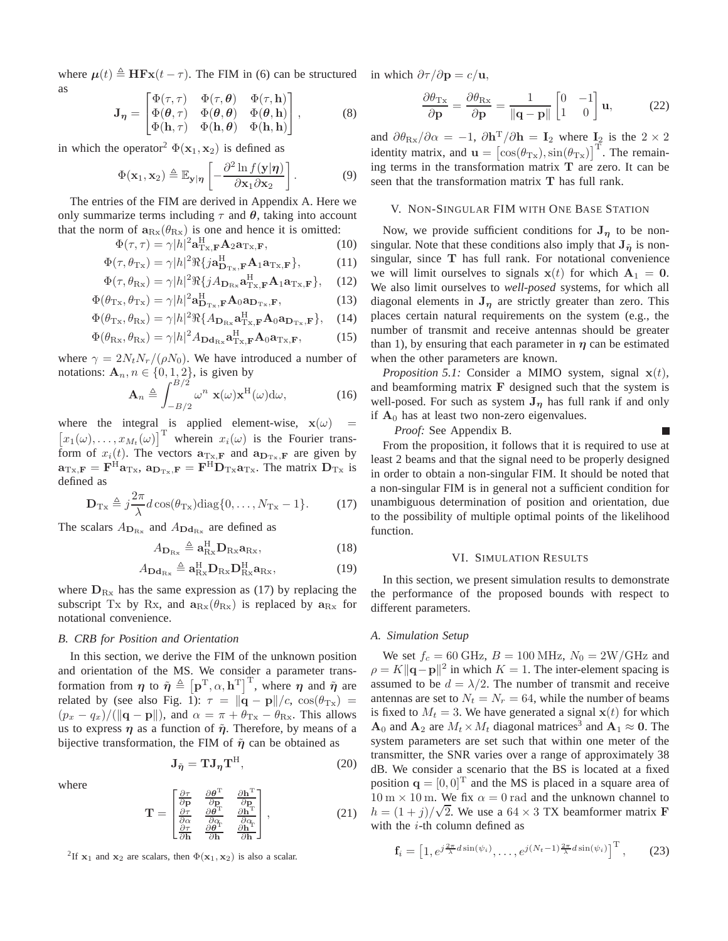where  $\mu(t) \triangleq \mathbf{H} \mathbf{F} \mathbf{x}(t - \tau)$ . The FIM in (6) can be structured in which  $\partial \tau / \partial \mathbf{p} = c/\mathbf{u}$ , as  $\Phi(-\theta)$ 

$$
\mathbf{J}_{\eta} = \begin{bmatrix} \Phi(\tau,\tau) & \Phi(\tau,\theta) & \Phi(\tau,\mathbf{h}) \\ \Phi(\theta,\tau) & \Phi(\theta,\theta) & \Phi(\theta,\mathbf{h}) \\ \Phi(\mathbf{h},\tau) & \Phi(\mathbf{h},\theta) & \Phi(\mathbf{h},\mathbf{h}) \end{bmatrix},
$$
(8)

in which the operator<sup>2</sup>  $\Phi(\mathbf{x}_1, \mathbf{x}_2)$  is defined as

$$
\Phi(\mathbf{x}_1, \mathbf{x}_2) \triangleq \mathbb{E}_{\mathbf{y}|\boldsymbol{\eta}} \left[ -\frac{\partial^2 \ln f(\mathbf{y}|\boldsymbol{\eta})}{\partial \mathbf{x}_1 \partial \mathbf{x}_2} \right]. \tag{9}
$$

The entries of the FIM are derived in Appendix A. Here we only summarize terms including  $\tau$  and  $\theta$ , taking into account that the norm of  $a_{Rx}(\theta_{Rx})$  is one and hence it is omitted:

$$
\Phi(\tau,\tau) = \gamma |h|^2 \mathbf{a}_{\mathrm{Tx},\mathbf{F}}^{\mathrm{H}} \mathbf{A}_2 \mathbf{a}_{\mathrm{Tx},\mathbf{F}},\tag{10}
$$

$$
\Phi(\tau, \theta_{\mathrm{Tx}}) = \gamma |h|^2 \Re{\{j\mathbf{a}_{\mathbf{D}_{\mathrm{Tx}},\mathbf{F}}^{\mathrm{H}} \mathbf{A}_1 \mathbf{a}_{\mathrm{Tx},\mathbf{F}}\}},\tag{11}
$$

$$
\Phi(\tau, \theta_{\text{Rx}}) = \gamma |h|^2 \Re{\{j A_{D_{\text{Rx}}}\mathbf{a}_{\text{Tx},\text{F}}^{\text{H}} \mathbf{A}_1 \mathbf{a}_{\text{Tx},\text{F}}\}},\quad(12)
$$

$$
\Phi(\theta_{\mathrm{Tx}}, \theta_{\mathrm{Tx}}) = \gamma |h|^2 \mathbf{a}_{\mathbf{D}_{\mathrm{Tx}}, \mathbf{F}}^{\mathbf{H}} \mathbf{A}_0 \mathbf{a}_{\mathbf{D}_{\mathrm{Tx}}, \mathbf{F}},
$$
\n(13)

$$
\Phi(\theta_{\text{Tx}}, \theta_{\text{Rx}}) = \gamma |h|^2 \Re\{A_{\mathbf{D}_{\text{Rx}}}\mathbf{a}_{\text{Tx},\mathbf{F}}^{\text{H}} \mathbf{A}_0 \mathbf{a}_{\mathbf{D}_{\text{Tx}},\mathbf{F}}\}, \quad (14)
$$

$$
\Phi(\theta_{\text{Rx}}, \theta_{\text{Rx}}) = \gamma |h|^2 A_{\text{Dd}_{\text{Rx}}} \mathbf{a}_{\text{Tx}, \mathbf{F}}^{\text{H}} \mathbf{A}_0 \mathbf{a}_{\text{Tx}, \mathbf{F}},
$$
(15)

where  $\gamma = 2N_tN_r/(\rho N_0)$ . We have introduced a number of notations:  $\mathbf{A}_n, n \in \{0, 1, 2\}$ , is given by

$$
\mathbf{A}_n \triangleq \int_{-B/2}^{B/2} \omega^n \mathbf{x}(\omega) \mathbf{x}^{\mathrm{H}}(\omega) d\omega, \tag{16}
$$

where the integral is applied element-wise,  $x(\omega)$  =  $[x_1(\omega), \ldots, x_{M_t}(\omega)]^{\text{T}}$  wherein  $x_i(\omega)$  is the Fourier transform of  $x_i(t)$ . The vectors  $\mathbf{a}_{\text{Tx,F}}$  and  $\mathbf{a}_{\text{D}_{\text{Tx},F}}$  are given by  $\mathbf{a}_{\text{Tx},\text{F}} = \mathbf{F}^{\text{H}} \mathbf{a}_{\text{Tx}}, \, \mathbf{a}_{\text{D}_{\text{Tx}},\text{F}} = \mathbf{F}^{\text{H}} \mathbf{D}_{\text{Tx}} \mathbf{a}_{\text{Tx}}$ . The matrix  $\mathbf{D}_{\text{Tx}}$  is defined as

$$
\mathbf{D}_{\mathrm{Tx}} \triangleq j\frac{2\pi}{\lambda}d\cos(\theta_{\mathrm{Tx}})\mathrm{diag}\{0,\ldots,N_{\mathrm{Tx}}-1\}.
$$
 (17)

The scalars  $A_{D_{\text{Rx}}}$  and  $A_{D_{\text{dx}}}$  are defined as

$$
A_{\mathbf{D}_{\mathrm{Rx}}}\triangleq\mathbf{a}_{\mathrm{Rx}}^{\mathrm{H}}\mathbf{D}_{\mathrm{Rx}}\mathbf{a}_{\mathrm{Rx}},\tag{18}
$$

$$
A_{\mathbf{D}\mathbf{d}_{\mathrm{Rx}}}\triangleq \mathbf{a}_{\mathrm{Rx}}^{\mathrm{H}}\mathbf{D}_{\mathrm{Rx}}\mathbf{D}_{\mathrm{Rx}}^{\mathrm{H}}\mathbf{a}_{\mathrm{Rx}},\tag{19}
$$

where  $D_{Rx}$  has the same expression as (17) by replacing the subscript Tx by Rx, and  $a_{Rx}(\theta_{Rx})$  is replaced by  $a_{Rx}$  for notational convenience.

#### *B. CRB for Position and Orientation*

In this section, we derive the FIM of the unknown position and orientation of the MS. We consider a parameter transformation from  $\eta$  to  $\tilde{\eta} \triangleq [\mathbf{p}^T, \alpha, \mathbf{h}^T]^T$ , where  $\eta$  and  $\tilde{\eta}$  are related by (see also Fig. 1):  $\tau = ||\mathbf{q} - \mathbf{p}||/c$ ,  $\cos(\theta_{\text{Tx}})$  =  $(p_x - q_x)/(\|\mathbf{q} - \mathbf{p}\|)$ , and  $\alpha = \pi + \theta_{\text{Tx}} - \theta_{\text{Rx}}$ . This allows us to express  $\eta$  as a function of  $\tilde{\eta}$ . Therefore, by means of a bijective transformation, the FIM of  $\tilde{\eta}$  can be obtained as

$$
\mathbf{J}_{\tilde{\boldsymbol{\eta}}} = \mathbf{T} \mathbf{J}_{\boldsymbol{\eta}} \mathbf{T}^{\mathrm{H}},\tag{20}
$$

where

$$
\mathbf{T} = \begin{bmatrix} \frac{\partial \tau}{\partial \mathbf{p}} & \frac{\partial \theta^{\mathrm{T}}}{\partial \mathbf{p}} & \frac{\partial \mathbf{h}^{\mathrm{T}}}{\partial \mathbf{p}}\\ \frac{\partial \tau}{\partial \alpha} & \frac{\partial \theta^{\mathrm{T}}}{\partial \alpha} & \frac{\partial \mathbf{h}^{\mathrm{T}}}{\partial \alpha}\\ \frac{\partial \tau}{\partial \mathbf{h}} & \frac{\partial \theta^{\mathrm{T}}}{\partial \mathbf{h}} & \frac{\partial \mathbf{h}^{\mathrm{T}}}{\partial \mathbf{h}} \end{bmatrix}, \qquad (21)
$$

<sup>2</sup>If  $x_1$  and  $x_2$  are scalars, then  $\Phi(x_1, x_2)$  is also a scalar.

$$
\frac{\partial \theta_{\text{Tx}}}{\partial \mathbf{p}} = \frac{\partial \theta_{\text{Rx}}}{\partial \mathbf{p}} = \frac{1}{\|\mathbf{q} - \mathbf{p}\|} \begin{bmatrix} 0 & -1 \\ 1 & 0 \end{bmatrix} \mathbf{u},\tag{22}
$$

and  $\partial \theta_{\rm{Rx}}/\partial \alpha = -1$ ,  $\partial \mathbf{h}^{\rm{T}}/\partial \mathbf{h} = \mathbf{I}_2$  where  $\mathbf{I}_2$  is the  $2 \times 2$ identity matrix, and  $\mathbf{u} = [\cos(\theta_{\text{Tx}}), \sin(\theta_{\text{Tx}})]^{\text{T}}$ . The remaining terms in the transformation matrix  $T$  are zero. It can be seen that the transformation matrix T has full rank.

#### V. NON-SINGULAR FIM WITH ONE BASE STATION

Now, we provide sufficient conditions for  $J_{\eta}$  to be nonsingular. Note that these conditions also imply that  $J_{\tilde{\eta}}$  is nonsingular, since T has full rank. For notational convenience we will limit ourselves to signals  $x(t)$  for which  $A_1 = 0$ . We also limit ourselves to *well-posed* systems, for which all diagonal elements in  $J_{\eta}$  are strictly greater than zero. This places certain natural requirements on the system (e.g., the number of transmit and receive antennas should be greater than 1), by ensuring that each parameter in  $\eta$  can be estimated when the other parameters are known.

*Proposition 5.1:* Consider a MIMO system, signal  $x(t)$ , and beamforming matrix  $\bf{F}$  designed such that the system is well-posed. For such as system  $J_n$  has full rank if and only if  $A_0$  has at least two non-zero eigenvalues.

г

*Proof:* See Appendix B.

From the proposition, it follows that it is required to use at least 2 beams and that the signal need to be properly designed in order to obtain a non-singular FIM. It should be noted that a non-singular FIM is in general not a sufficient condition for unambiguous determination of position and orientation, due to the possibility of multiple optimal points of the likelihood function.

#### VI. SIMULATION RESULTS

In this section, we present simulation results to demonstrate the performance of the proposed bounds with respect to different parameters.

#### *A. Simulation Setup*

We set  $f_c = 60$  GHz,  $B = 100$  MHz,  $N_0 = 2W/G$ Hz and  $\rho = K ||\mathbf{q} - \mathbf{p}||^2$  in which  $K = 1$ . The inter-element spacing is assumed to be  $d = \lambda/2$ . The number of transmit and receive antennas are set to  $N_t = N_r = 64$ , while the number of beams is fixed to  $M_t = 3$ . We have generated a signal  $\mathbf{x}(t)$  for which  $\mathbf{A}_0$  and  $\mathbf{A}_2$  are  $M_t \times M_t$  diagonal matrices<sup>3</sup> and  $\mathbf{A}_1 \approx \mathbf{0}$ . The system parameters are set such that within one meter of the transmitter, the SNR varies over a range of approximately 38 dB. We consider a scenario that the BS is located at a fixed position  $\mathbf{q} = [0, 0]^T$  and the MS is placed in a square area of  $10 \text{ m} \times 10 \text{ m}$ . We fix  $\alpha = 0 \text{ rad}$  and the unknown channel to  $h = (1 + j)/\sqrt{2}$ . We use a  $64 \times 3$  TX beamformer matrix **F** with the  $i$ -th column defined as

$$
\mathbf{f}_i = \left[1, e^{j\frac{2\pi}{\lambda}d\sin(\psi_i)}, \dots, e^{j(N_t-1)\frac{2\pi}{\lambda}d\sin(\psi_i)}\right]^{\mathrm{T}},\qquad(23)
$$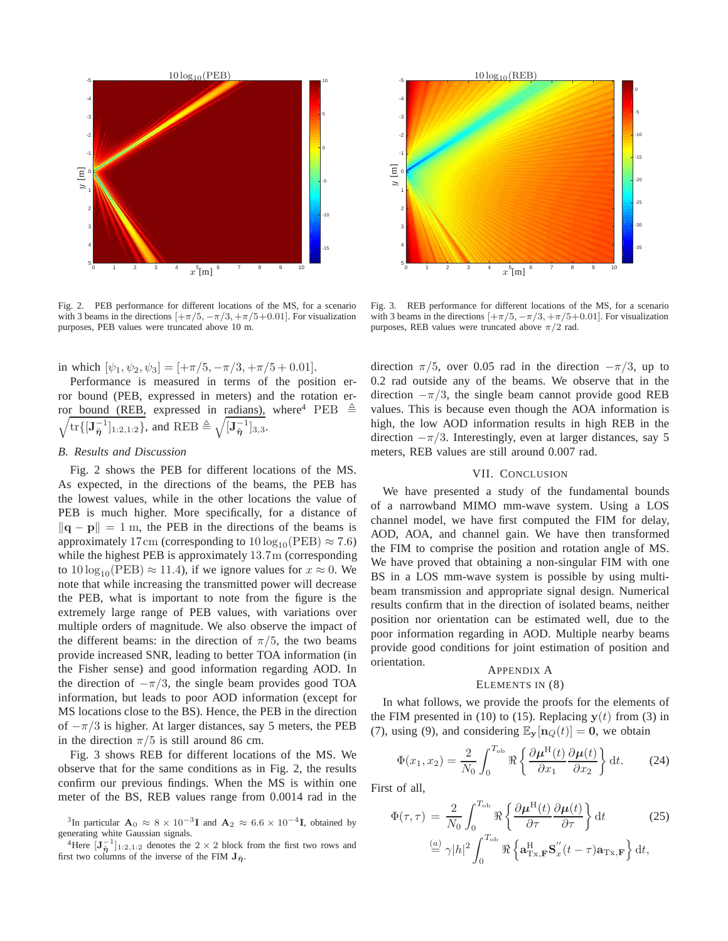

Fig. 2. PEB performance for different locations of the MS, for a scenario with 3 beams in the directions  $[+\pi/5, -\pi/3, +\pi/5+0.01]$ . For visualization purposes, PEB values were truncated above 10 m.

in which  $[\psi_1, \psi_2, \psi_3] = [+ \pi/5, -\pi/3, +\pi/5 + 0.01].$ 

Performance is measured in terms of the position error bound (PEB, expressed in meters) and the rotation error bound (REB, expressed in radians), where<sup>4</sup> PEB  $\triangleq$  $\sqrt{\text{tr}\{[\mathbf{J}_{\tilde{\eta}}^{-1}]_{1:2,1:2}\}}$ , and REB  $\triangleq \sqrt{[\mathbf{J}_{\tilde{\eta}}^{-1}]_{3,3}}$ .

#### *B. Results and Discussion*

Fig. 2 shows the PEB for different locations of the MS. As expected, in the directions of the beams, the PEB has the lowest values, while in the other locations the value of PEB is much higher. More specifically, for a distance of  $\|\mathbf{q} - \mathbf{p}\| = 1$  m, the PEB in the directions of the beams is approximately 17cm (corresponding to  $10 \log_{10}(\text{PEB}) \approx 7.6$ ) while the highest PEB is approximately 13.7m (corresponding to  $10 \log_{10}(PEB) \approx 11.4$ , if we ignore values for  $x \approx 0$ . We note that while increasing the transmitted power will decrease the PEB, what is important to note from the figure is the extremely large range of PEB values, with variations over multiple orders of magnitude. We also observe the impact of the different beams: in the direction of  $\pi/5$ , the two beams provide increased SNR, leading to better TOA information (in the Fisher sense) and good information regarding AOD. In the direction of  $-\pi/3$ , the single beam provides good TOA information, but leads to poor AOD information (except for MS locations close to the BS). Hence, the PEB in the direction of  $-\pi/3$  is higher. At larger distances, say 5 meters, the PEB in the direction  $\pi/5$  is still around 86 cm.

Fig. 3 shows REB for different locations of the MS. We observe that for the same conditions as in Fig. 2, the results confirm our previous findings. When the MS is within one meter of the BS, REB values range from 0.0014 rad in the



Fig. 3. REB performance for different locations of the MS, for a scenario with 3 beams in the directions  $[+\pi/5, -\pi/3, +\pi/5+0.01]$ . For visualization purposes, REB values were truncated above  $\pi/2$  rad.

direction  $\pi/5$ , over 0.05 rad in the direction  $-\pi/3$ , up to 0.2 rad outside any of the beams. We observe that in the direction  $-\pi/3$ , the single beam cannot provide good REB values. This is because even though the AOA information is high, the low AOD information results in high REB in the direction  $-\pi/3$ . Interestingly, even at larger distances, say 5 meters, REB values are still around 0.007 rad.

#### VII. CONCLUSION

We have presented a study of the fundamental bounds of a narrowband MIMO mm-wave system. Using a LOS channel model, we have first computed the FIM for delay, AOD, AOA, and channel gain. We have then transformed the FIM to comprise the position and rotation angle of MS. We have proved that obtaining a non-singular FIM with one BS in a LOS mm-wave system is possible by using multibeam transmission and appropriate signal design. Numerical results confirm that in the direction of isolated beams, neither position nor orientation can be estimated well, due to the poor information regarding in AOD. Multiple nearby beams provide good conditions for joint estimation of position and orientation.

#### APPENDIX A ELEMENTS IN (8)

In what follows, we provide the proofs for the elements of the FIM presented in (10) to (15). Replacing  $y(t)$  from (3) in (7), using (9), and considering  $\mathbb{E}_{\mathbf{y}}[\mathbf{n}_Q(t)] = \mathbf{0}$ , we obtain

$$
\Phi(x_1, x_2) = \frac{2}{N_0} \int_0^{T_{\text{ob}}} \Re \left\{ \frac{\partial \mu^{\text{H}}(t)}{\partial x_1} \frac{\partial \mu(t)}{\partial x_2} \right\} \text{d}t. \tag{24}
$$

First of all,

$$
\Phi(\tau,\tau) = \frac{2}{N_0} \int_0^{T_{\text{ob}}} \Re \left\{ \frac{\partial \mu^{\text{H}}(t)}{\partial \tau} \frac{\partial \mu(t)}{\partial \tau} \right\} dt \qquad (25)
$$

$$
\stackrel{\text{(a)}}{=} \gamma |h|^2 \int_0^{T_{\text{ob}}} \Re \left\{ \mathbf{a}_{\text{Tx},\mathbf{F}}^{\text{H}} \mathbf{S}_x''(t-\tau) \mathbf{a}_{\text{Tx},\mathbf{F}} \right\} dt,
$$

<sup>&</sup>lt;sup>3</sup>In particular  $\mathbf{A}_0 \approx 8 \times 10^{-3} \mathbf{I}$  and  $\mathbf{A}_2 \approx 6.6 \times 10^{-4} \mathbf{I}$ , obtained by generating white Gaussian signals.

<sup>&</sup>lt;sup>4</sup>Here  $[\mathbf{J}_{\tilde{\eta}}^{-1}]_{1:2,1:2}$  denotes the  $2 \times 2$  block from the first two rows and first two columns of the inverse of the FIM  $\mathbf{J}_{\tilde{\boldsymbol{\eta}}}$ .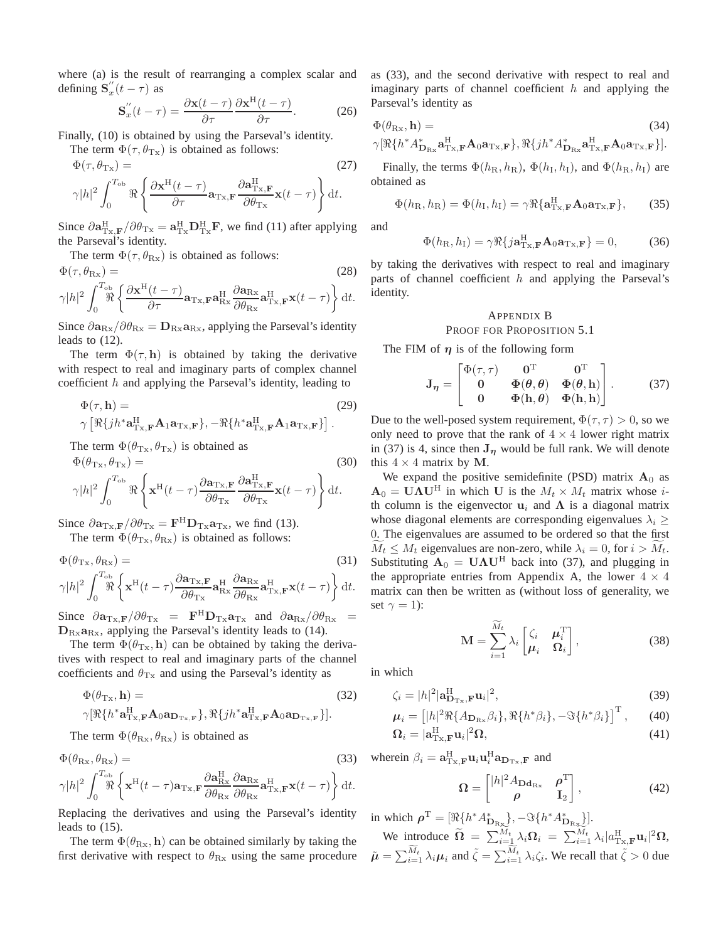where (a) is the result of rearranging a complex scalar and defining  $S''_x$  $\int_{x}^{\pi} (t - \tau) \text{ as}$ 

$$
\mathbf{S}_{x}^{"}(t-\tau) = \frac{\partial \mathbf{x}(t-\tau)}{\partial \tau} \frac{\partial \mathbf{x}^{\mathrm{H}}(t-\tau)}{\partial \tau}.
$$
 (26)

Finally, (10) is obtained by using the Parseval's identity.

The term  $\Phi(\tau, \theta_{\text{Tx}})$  is obtained as follows:

$$
\Phi(\tau, \theta_{\text{Tx}}) = \gamma |h|^2 \int_0^{T_{\text{ob}}} \Re \left\{ \frac{\partial \mathbf{x}^{\text{H}}(t-\tau)}{\partial \tau} \mathbf{a}_{\text{Tx}, \mathbf{F}} \frac{\partial \mathbf{a}_{\text{Tx}, \mathbf{F}}^{\text{H}}}{\partial \theta_{\text{Tx}}} \mathbf{x}(t-\tau) \right\} dt.
$$
\n(27)

Since  $\partial \mathbf{a}_{\mathrm{Tx},\mathbf{F}}^{\mathrm{H}} / \partial \theta_{\mathrm{Tx}} = \mathbf{a}_{\mathrm{Tx}}^{\mathrm{H}} \mathbf{D}_{\mathrm{Tx}}^{\mathrm{H}} \mathbf{F}$ , we find (11) after applying the Parseval's identity.

The term  $\Phi(\tau, \theta_{\text{Rx}})$  is obtained as follows:

$$
\Phi(\tau, \theta_{\text{Rx}}) = \gamma |h|^2 \int_0^{T_{\text{ob}}} \Re \left\{ \frac{\partial \mathbf{x}^{\text{H}}(t-\tau)}{\partial \tau} \mathbf{a}_{\text{Tx}, \mathbf{F}} \mathbf{a}_{\text{Rx}}^{\text{H}} \frac{\partial \mathbf{a}_{\text{Rx}}}{\partial \theta_{\text{Rx}}} \mathbf{a}_{\text{Tx}, \mathbf{F}}^{\text{H}} \mathbf{x}(t-\tau) \right\} dt.
$$
\n(28)

Since  $\partial \mathbf{a}_{\text{Rx}}/\partial \theta_{\text{Rx}} = \mathbf{D}_{\text{Rx}} \mathbf{a}_{\text{Rx}}$ , applying the Parseval's identity leads to (12).

The term  $\Phi(\tau, h)$  is obtained by taking the derivative with respect to real and imaginary parts of complex channel coefficient  $h$  and applying the Parseval's identity, leading to

$$
\Phi(\tau, \mathbf{h}) = \qquad (29)
$$
\n
$$
\gamma \left[ \Re\{ j h^* \mathbf{a}_{\mathrm{T} \mathbf{x}, \mathbf{F}}^{\mathrm{H}} \mathbf{A}_1 \mathbf{a}_{\mathrm{T} \mathbf{x}, \mathbf{F}} \right\}, -\Re\{ h^* \mathbf{a}_{\mathrm{T} \mathbf{x}, \mathbf{F}}^{\mathrm{H}} \mathbf{A}_1 \mathbf{a}_{\mathrm{T} \mathbf{x}, \mathbf{F}} \} \right].
$$

The term  $\Phi(\theta_{\text{Tx}}, \theta_{\text{Tx}})$  is obtained as

$$
\Phi(\theta_{\text{Tx}}, \theta_{\text{Tx}}) = (30)
$$
\n
$$
\gamma |h|^2 \int_0^{T_{\text{ob}}} \Re \left\{ \mathbf{x}^{\text{H}}(t-\tau) \frac{\partial \mathbf{a}_{\text{Tx}, \mathbf{F}}}{\partial \theta_{\text{Tx}}} \frac{\partial \mathbf{a}_{\text{Tx}, \mathbf{F}}^{\text{H}}}{\partial \theta_{\text{Tx}}} \mathbf{x}(t-\tau) \right\} dt.
$$
\n(30)

Since  $\partial \mathbf{a}_{\mathrm{T}x,\mathbf{F}}/\partial \theta_{\mathrm{T}x} = \mathbf{F}^{\mathrm{H}} \mathbf{D}_{\mathrm{T}x} \mathbf{a}_{\mathrm{T}x}$ , we find (13).

The term  $\Phi(\theta_{\text{Tx}}, \theta_{\text{Rx}})$  is obtained as follows:

$$
\Phi(\theta_{\text{Tx}}, \theta_{\text{Rx}}) = \qquad (31)
$$
\n
$$
\gamma |h|^2 \int_0^{T_{\text{ob}}} \left\{ \mathbf{x}^{\text{H}}(t-\tau) \frac{\partial \mathbf{a}_{\text{Tx},\text{F}}}{\partial \theta_{\text{Tx}}} \mathbf{a}_{\text{Rx}}^{\text{H}} \frac{\partial \mathbf{a}_{\text{Rx}}}{\partial \theta_{\text{Rx}}} \mathbf{a}_{\text{Tx},\text{F}}^{\text{H}} \mathbf{x}(t-\tau) \right\} dt.
$$

Since  $\partial \mathbf{a}_{T_x,F}/\partial \theta_{T_x} = \mathbf{F}^H \mathbf{D}_{T_x} \mathbf{a}_{T_x}$  and  $\partial \mathbf{a}_{Rx}/\partial \theta_{Rx} =$  $D_{\text{Rx}}a_{\text{Rx}}$ , applying the Parseval's identity leads to (14).

The term  $\Phi(\theta_{\text{Tx}}, h)$  can be obtained by taking the derivatives with respect to real and imaginary parts of the channel coefficients and  $\theta_{\text{Tx}}$  and using the Parseval's identity as

$$
\Phi(\theta_{\text{Tx}}, \mathbf{h}) = \qquad (32)
$$
\n
$$
\gamma[\Re\{h^* \mathbf{a}_{\text{Tx}, \mathbf{F}}^{\text{H}} \mathbf{A}_0 \mathbf{a}_{\mathbf{D}_{\text{Tx}, \mathbf{F}}}\}, \Re\{jh^* \mathbf{a}_{\text{Tx}, \mathbf{F}}^{\text{H}} \mathbf{A}_0 \mathbf{a}_{\mathbf{D}_{\text{Tx}, \mathbf{F}}}\}].
$$

The term  $\Phi(\theta_{\text{Rx}}, \theta_{\text{Rx}})$  is obtained as

$$
\Phi(\theta_{\rm Rx}, \theta_{\rm Rx}) =
$$
\n
$$
\gamma |h|^2 \int_0^{T_{\rm ob}} \left\{ \mathbf{x}^{\rm H} (t-\tau) \mathbf{a}_{\rm Tx, \mathbf{F}} \frac{\partial \mathbf{a}_{\rm Rx}^{\rm H}}{\partial \theta_{\rm Rx}} \frac{\partial \mathbf{a}_{\rm Rx}}{\partial \theta_{\rm Rx}} \mathbf{a}_{\rm Tx, \mathbf{F}}^{\rm H} \mathbf{x} (t-\tau) \right\} dt.
$$
\n(33)

Replacing the derivatives and using the Parseval's identity leads to (15).

The term  $\Phi(\theta_{\mathrm{Rx}}, h)$  can be obtained similarly by taking the first derivative with respect to  $\theta_{\text{Rx}}$  using the same procedure as (33), and the second derivative with respect to real and imaginary parts of channel coefficient  $h$  and applying the Parseval's identity as

$$
\Phi(\theta_{\text{Rx}}, \mathbf{h}) = \qquad (34)
$$
\n
$$
\gamma[\Re\{h^* A^*_{\mathbf{D}_{\text{Rx}}}\mathbf{a}_{\text{Tx},\mathbf{F}}^{\text{H}}\mathbf{A}_0\mathbf{a}_{\text{Tx},\mathbf{F}}\}, \Re\{jh^* A^*_{\mathbf{D}_{\text{Rx}}}\mathbf{a}_{\text{Tx},\mathbf{F}}^{\text{H}}\mathbf{A}_0\mathbf{a}_{\text{Tx},\mathbf{F}}\}].
$$

Finally, the terms  $\Phi(h_{\rm R}, h_{\rm R})$ ,  $\Phi(h_{\rm I}, h_{\rm I})$ , and  $\Phi(h_{\rm R}, h_{\rm I})$  are obtained as

$$
\Phi(h_{\rm R}, h_{\rm R}) = \Phi(h_{\rm I}, h_{\rm I}) = \gamma \Re\{\mathbf{a}_{\rm Tx, \mathbf{F}}^{\rm H} \mathbf{A}_0 \mathbf{a}_{\rm Tx, \mathbf{F}}\},\qquad(35)
$$

and

$$
\Phi(h_{\rm R}, h_{\rm I}) = \gamma \Re{\{j\mathbf{a}_{\rm Tx,F}^{\rm H} \mathbf{A}_0 \mathbf{a}_{\rm Tx,F}\}} = 0, \tag{36}
$$

by taking the derivatives with respect to real and imaginary parts of channel coefficient  $h$  and applying the Parseval's identity.

#### APPENDIX B PROOF FOR PROPOSITION 5.1

The FIM of  $\eta$  is of the following form

$$
\mathbf{J}_{\eta} = \begin{bmatrix} \Phi(\tau,\tau) & \mathbf{0}^{\mathrm{T}} & \mathbf{0}^{\mathrm{T}} \\ \mathbf{0} & \Phi(\theta,\theta) & \Phi(\theta,\mathbf{h}) \\ \mathbf{0} & \Phi(\mathbf{h},\theta) & \Phi(\mathbf{h},\mathbf{h}) \end{bmatrix} . \tag{37}
$$

Due to the well-posed system requirement,  $\Phi(\tau, \tau) > 0$ , so we only need to prove that the rank of  $4 \times 4$  lower right matrix in (37) is 4, since then  $J_{\eta}$  would be full rank. We will denote this  $4 \times 4$  matrix by M.

We expand the positive semidefinite (PSD) matrix  $A_0$  as  $A_0 = \mathbf{U}\Lambda\mathbf{U}^H$  in which U is the  $M_t \times M_t$  matrix whose ith column is the eigenvector  $\mathbf{u}_i$  and  $\Lambda$  is a diagonal matrix whose diagonal elements are corresponding eigenvalues  $\lambda_i \geq$ 0. The eigenvalues are assumed to be ordered so that the first  $M_t \leq M_t$  eigenvalues are non-zero, while  $\lambda_i = 0$ , for  $i > M_t$ . Substituting  $A_0 = U \Lambda U^H$  back into (37), and plugging in the appropriate entries from Appendix A, the lower  $4 \times 4$ matrix can then be written as (without loss of generality, we set  $\gamma = 1$ ):

$$
\mathbf{M} = \sum_{i=1}^{\widetilde{M}_t} \lambda_i \begin{bmatrix} \zeta_i & \boldsymbol{\mu}_i^{\mathrm{T}} \\ \boldsymbol{\mu}_i & \boldsymbol{\Omega}_i \end{bmatrix},
$$
(38)

in which

$$
\zeta_i = |h|^2 |\mathbf{a}_{\mathbf{D}_{\mathrm{Tx}},\mathbf{F}}^{\mathrm{H}} \mathbf{u}_i|^2, \tag{39}
$$

$$
\boldsymbol{\mu}_i = \left[ |h|^2 \Re\{A_{\mathbf{D}_{\mathrm{Rx}}} \beta_i\}, \Re\{h^* \beta_i\}, -\Im\{h^* \beta_i\} \right]^{\mathrm{T}},\qquad(40)
$$

$$
\Omega_i = |\mathbf{a}_{\mathrm{Tx,F}}^{\mathrm{H}} \mathbf{u}_i|^2 \Omega,\tag{41}
$$

wherein  $\beta_i = \mathbf{a}_{\mathrm{Tx},\mathbf{F}}^{\mathrm{H}} \mathbf{u}_i \mathbf{u}_i^{\mathrm{H}} \mathbf{a}_{\mathbf{D}_{\mathrm{Tx}},\mathbf{F}}$  and

$$
\Omega = \begin{bmatrix} |h|^2 A_{\text{Dd}_{\text{Rx}}} & \rho^{\text{T}} \\ \rho & I_2 \end{bmatrix}, \tag{42}
$$

in which  $\boldsymbol{\rho}^{\mathrm{T}} = [\Re\{h^* A^*_{D_{\mathrm{Rx}}}\}, -\Im\{h^* A^*_{D_{\mathrm{Rx}}}\}].$ 

We introduce  $\widetilde{\Omega} = \sum_{i=1}^{N_t} \lambda_i \Omega_i = \sum_{i=1}^{N_t} \lambda_i |a_{\text{Tx,F}}^{\text{H}} \mathbf{u}_i|^2 \Omega$ ,  $\tilde{\mu} = \sum_{i=1}^{\widetilde{M}_t} \lambda_i \mu_i$  and  $\tilde{\zeta} = \sum_{i=1}^{\widetilde{M}_t} \lambda_i \zeta_i$ . We recall that  $\tilde{\zeta} > 0$  due